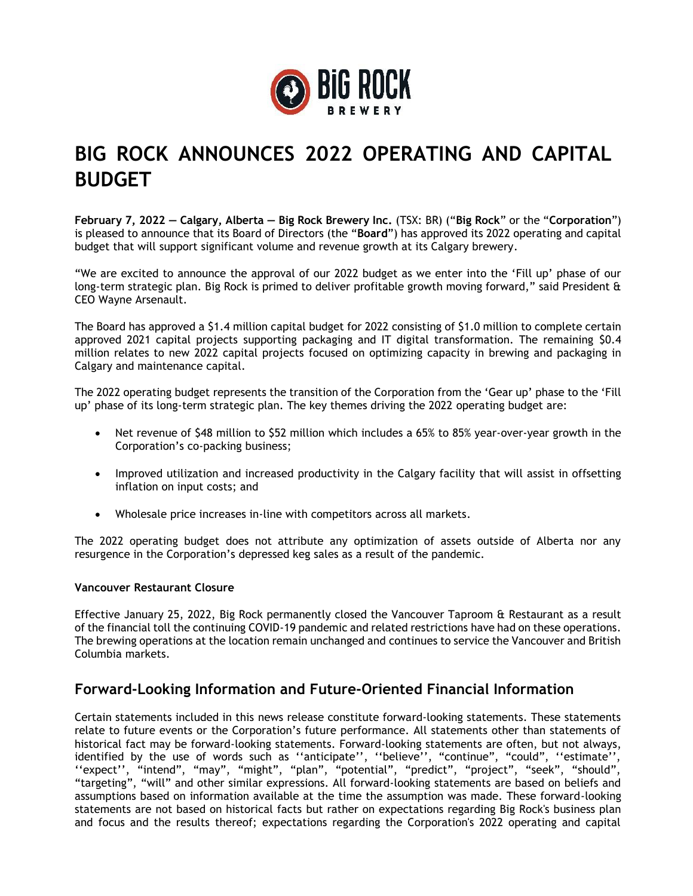

# **BIG ROCK ANNOUNCES 2022 OPERATING AND CAPITAL BUDGET**

**February 7, 2022 — Calgary, Alberta — Big Rock Brewery Inc.** (TSX: BR) ("**Big Rock**" or the "**Corporation**") is pleased to announce that its Board of Directors (the "**Board**") has approved its 2022 operating and capital budget that will support significant volume and revenue growth at its Calgary brewery.

"We are excited to announce the approval of our 2022 budget as we enter into the 'Fill up' phase of our long-term strategic plan. Big Rock is primed to deliver profitable growth moving forward," said President & CEO Wayne Arsenault.

The Board has approved a \$1.4 million capital budget for 2022 consisting of \$1.0 million to complete certain approved 2021 capital projects supporting packaging and IT digital transformation. The remaining \$0.4 million relates to new 2022 capital projects focused on optimizing capacity in brewing and packaging in Calgary and maintenance capital.

The 2022 operating budget represents the transition of the Corporation from the 'Gear up' phase to the 'Fill up' phase of its long-term strategic plan. The key themes driving the 2022 operating budget are:

- Net revenue of \$48 million to \$52 million which includes a 65% to 85% year-over-year growth in the Corporation's co-packing business;
- Improved utilization and increased productivity in the Calgary facility that will assist in offsetting inflation on input costs; and
- Wholesale price increases in-line with competitors across all markets.

The 2022 operating budget does not attribute any optimization of assets outside of Alberta nor any resurgence in the Corporation's depressed keg sales as a result of the pandemic.

#### **Vancouver Restaurant Closure**

Effective January 25, 2022, Big Rock permanently closed the Vancouver Taproom & Restaurant as a result of the financial toll the continuing COVID-19 pandemic and related restrictions have had on these operations. The brewing operations at the location remain unchanged and continues to service the Vancouver and British Columbia markets.

## **Forward-Looking Information and Future-Oriented Financial Information**

Certain statements included in this news release constitute forward-looking statements. These statements relate to future events or the Corporation's future performance. All statements other than statements of historical fact may be forward-looking statements. Forward-looking statements are often, but not always, identified by the use of words such as "anticipate", "believe", "continue", "could", "estimate" ''expect'', "intend", "may", "might", "plan", "potential", "predict", "project", "seek", "should", "targeting", "will" and other similar expressions. All forward-looking statements are based on beliefs and assumptions based on information available at the time the assumption was made. These forward-looking statements are not based on historical facts but rather on expectations regarding Big Rock's business plan and focus and the results thereof; expectations regarding the Corporation's 2022 operating and capital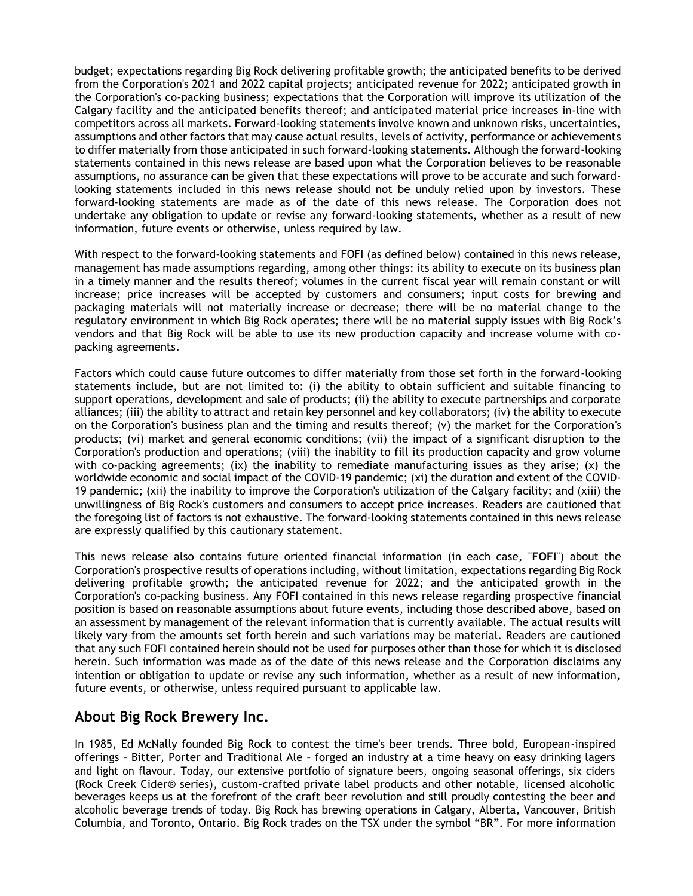budget; expectations regarding Big Rock delivering profitable growth; the anticipated benefits to be derived from the Corporation's 2021 and 2022 capital projects; anticipated revenue for 2022; anticipated growth in the Corporation's co-packing business; expectations that the Corporation will improve its utilization of the Calgary facility and the anticipated benefits thereof; and anticipated material price increases in-line with competitors across all markets. Forward-looking statements involve known and unknown risks, uncertainties, assumptions and other factors that may cause actual results, levels of activity, performance or achievements to differ materially from those anticipated in such forward-looking statements. Although the forward-looking statements contained in this news release are based upon what the Corporation believes to be reasonable assumptions, no assurance can be given that these expectations will prove to be accurate and such forwardlooking statements included in this news release should not be unduly relied upon by investors. These forward-looking statements are made as of the date of this news release. The Corporation does not undertake any obligation to update or revise any forward-looking statements, whether as a result of new information, future events or otherwise, unless required by law.

With respect to the forward-looking statements and FOFI (as defined below) contained in this news release, management has made assumptions regarding, among other things: its ability to execute on its business plan in a timely manner and the results thereof; volumes in the current fiscal year will remain constant or will increase; price increases will be accepted by customers and consumers; input costs for brewing and packaging materials will not materially increase or decrease; there will be no material change to the regulatory environment in which Big Rock operates; there will be no material supply issues with Big Rock's vendors and that Big Rock will be able to use its new production capacity and increase volume with copacking agreements.

Factors which could cause future outcomes to differ materially from those set forth in the forward-looking statements include, but are not limited to: (i) the ability to obtain sufficient and suitable financing to support operations, development and sale of products; (ii) the ability to execute partnerships and corporate alliances; (iii) the ability to attract and retain key personnel and key collaborators; (iv) the ability to execute on the Corporation's business plan and the timing and results thereof; (v) the market for the Corporation's products; (vi) market and general economic conditions; (vii) the impact of a significant disruption to the Corporation's production and operations; (viii) the inability to fill its production capacity and grow volume with co-packing agreements; (ix) the inability to remediate manufacturing issues as they arise; (x) the worldwide economic and social impact of the COVID-19 pandemic; (xi) the duration and extent of the COVID-19 pandemic; (xii) the inability to improve the Corporation's utilization of the Calgary facility; and (xiii) the unwillingness of Big Rock's customers and consumers to accept price increases. Readers are cautioned that the foregoing list of factors is not exhaustive. The forward-looking statements contained in this news release are expressly qualified by this cautionary statement.

This news release also contains future oriented financial information (in each case, "**FOFI**") about the Corporation's prospective results of operations including, without limitation, expectations regarding Big Rock delivering profitable growth; the anticipated revenue for 2022; and the anticipated growth in the Corporation's co-packing business. Any FOFI contained in this news release regarding prospective financial position is based on reasonable assumptions about future events, including those described above, based on an assessment by management of the relevant information that is currently available. The actual results will likely vary from the amounts set forth herein and such variations may be material. Readers are cautioned that any such FOFI contained herein should not be used for purposes other than those for which it is disclosed herein. Such information was made as of the date of this news release and the Corporation disclaims any intention or obligation to update or revise any such information, whether as a result of new information, future events, or otherwise, unless required pursuant to applicable law.

## **About Big Rock Brewery Inc.**

In 1985, Ed McNally founded Big Rock to contest the time's beer trends. Three bold, European-inspired offerings – Bitter, Porter and Traditional Ale – forged an industry at a time heavy on easy drinking lagers and light on flavour. Today, our extensive portfolio of signature beers, ongoing seasonal offerings, six ciders (Rock Creek Cider® series), custom-crafted private label products and other notable, licensed alcoholic beverages keeps us at the forefront of the craft beer revolution and still proudly contesting the beer and alcoholic beverage trends of today. Big Rock has brewing operations in Calgary, Alberta, Vancouver, British Columbia, and Toronto, Ontario. Big Rock trades on the TSX under the symbol "BR". For more information